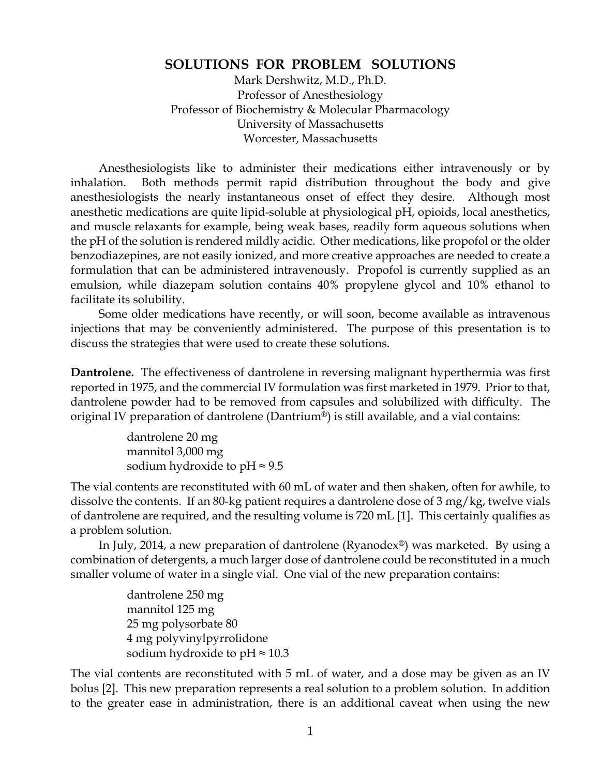## **SOLUTIONS FOR PROBLEM SOLUTIONS**

Mark Dershwitz, M.D., Ph.D. Professor of Anesthesiology Professor of Biochemistry & Molecular Pharmacology University of Massachusetts Worcester, Massachusetts

Anesthesiologists like to administer their medications either intravenously or by inhalation. Both methods permit rapid distribution throughout the body and give anesthesiologists the nearly instantaneous onset of effect they desire. Although most anesthetic medications are quite lipid-soluble at physiological pH, opioids, local anesthetics, and muscle relaxants for example, being weak bases, readily form aqueous solutions when the pH of the solution is rendered mildly acidic. Other medications, like propofol or the older benzodiazepines, are not easily ionized, and more creative approaches are needed to create a formulation that can be administered intravenously. Propofol is currently supplied as an emulsion, while diazepam solution contains 40% propylene glycol and 10% ethanol to facilitate its solubility.

Some older medications have recently, or will soon, become available as intravenous injections that may be conveniently administered. The purpose of this presentation is to discuss the strategies that were used to create these solutions.

**Dantrolene.** The effectiveness of dantrolene in reversing malignant hyperthermia was first reported in 1975, and the commercial IV formulation was first marketed in 1979. Prior to that, dantrolene powder had to be removed from capsules and solubilized with difficulty. The original IV preparation of dantrolene (Dantrium®) is still available, and a vial contains:

> dantrolene 20 mg mannitol 3,000 mg sodium hydroxide to pH  $\approx$  9.5

The vial contents are reconstituted with 60 mL of water and then shaken, often for awhile, to dissolve the contents. If an 80-kg patient requires a dantrolene dose of 3 mg/kg, twelve vials of dantrolene are required, and the resulting volume is 720 mL [1]. This certainly qualifies as a problem solution.

In July, 2014, a new preparation of dantrolene (Ryanodex®) was marketed. By using a combination of detergents, a much larger dose of dantrolene could be reconstituted in a much smaller volume of water in a single vial. One vial of the new preparation contains:

> dantrolene 250 mg mannitol 125 mg 25 mg polysorbate 80 4 mg polyvinylpyrrolidone sodium hydroxide to pH $\approx$  10.3

The vial contents are reconstituted with 5 mL of water, and a dose may be given as an IV bolus [2]. This new preparation represents a real solution to a problem solution. In addition to the greater ease in administration, there is an additional caveat when using the new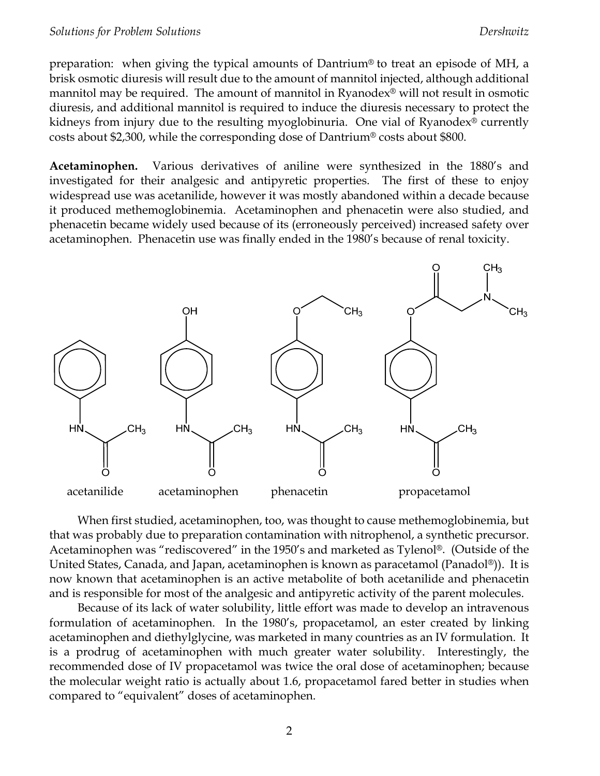preparation: when giving the typical amounts of Dantrium® to treat an episode of MH, a brisk osmotic diuresis will result due to the amount of mannitol injected, although additional mannitol may be required. The amount of mannitol in Ryanodex® will not result in osmotic diuresis, and additional mannitol is required to induce the diuresis necessary to protect the kidneys from injury due to the resulting myoglobinuria. One vial of Ryanodex® currently costs about \$2,300, while the corresponding dose of Dantrium® costs about \$800.

**Acetaminophen.** Various derivatives of aniline were synthesized in the 1880's and investigated for their analgesic and antipyretic properties. The first of these to enjoy widespread use was acetanilide, however it was mostly abandoned within a decade because it produced methemoglobinemia. Acetaminophen and phenacetin were also studied, and phenacetin became widely used because of its (erroneously perceived) increased safety over acetaminophen. Phenacetin use was finally ended in the 1980's because of renal toxicity.



When first studied, acetaminophen, too, was thought to cause methemoglobinemia, but that was probably due to preparation contamination with nitrophenol, a synthetic precursor. Acetaminophen was "rediscovered" in the 1950's and marketed as Tylenol®. (Outside of the United States, Canada, and Japan, acetaminophen is known as paracetamol (Panadol®)). It is now known that acetaminophen is an active metabolite of both acetanilide and phenacetin and is responsible for most of the analgesic and antipyretic activity of the parent molecules.

Because of its lack of water solubility, little effort was made to develop an intravenous formulation of acetaminophen. In the 1980's, propacetamol, an ester created by linking acetaminophen and diethylglycine, was marketed in many countries as an IV formulation. It is a prodrug of acetaminophen with much greater water solubility. Interestingly, the recommended dose of IV propacetamol was twice the oral dose of acetaminophen; because the molecular weight ratio is actually about 1.6, propacetamol fared better in studies when compared to "equivalent" doses of acetaminophen.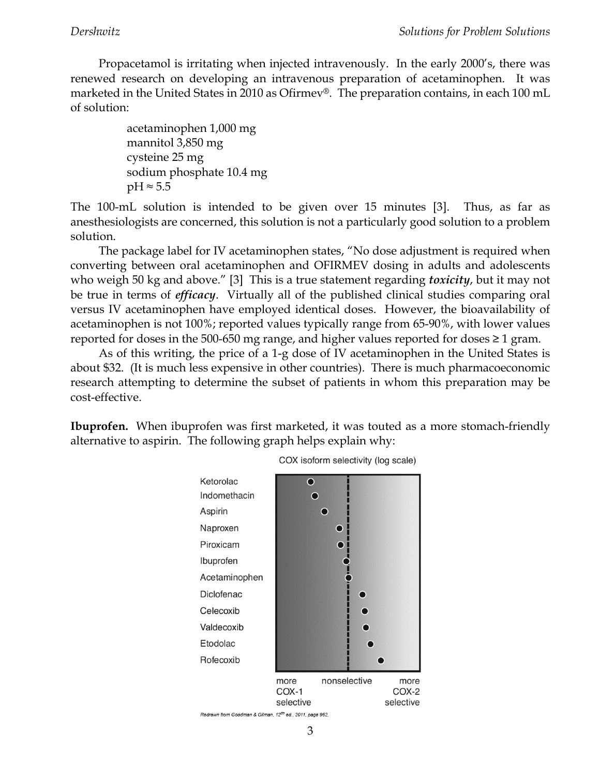Propacetamol is irritating when injected intravenously. In the early 2000's, there was renewed research on developing an intravenous preparation of acetaminophen. It was marketed in the United States in 2010 as Ofirmev®. The preparation contains, in each 100 mL of solution:

> acetaminophen 1,000 mg mannitol 3,850 mg cysteine 25 mg sodium phosphate 10.4 mg  $pH \approx 5.5$

The 100-mL solution is intended to be given over 15 minutes [3]. Thus, as far as anesthesiologists are concerned, this solution is not a particularly good solution to a problem solution.

The package label for IV acetaminophen states, "No dose adjustment is required when converting between oral acetaminophen and OFIRMEV dosing in adults and adolescents who weigh 50 kg and above." [3] This is a true statement regarding *toxicity*, but it may not be true in terms of *efficacy*. Virtually all of the published clinical studies comparing oral versus IV acetaminophen have employed identical doses. However, the bioavailability of acetaminophen is not 100%; reported values typically range from 65-90%, with lower values reported for doses in the 500-650 mg range, and higher values reported for doses  $\geq 1$  gram.

As of this writing, the price of a 1-g dose of IV acetaminophen in the United States is about \$32. (It is much less expensive in other countries). There is much pharmacoeconomic research attempting to determine the subset of patients in whom this preparation may be cost-effective.

**Ibuprofen.** When ibuprofen was first marketed, it was touted as a more stomach-friendly alternative to aspirin. The following graph helps explain why:





3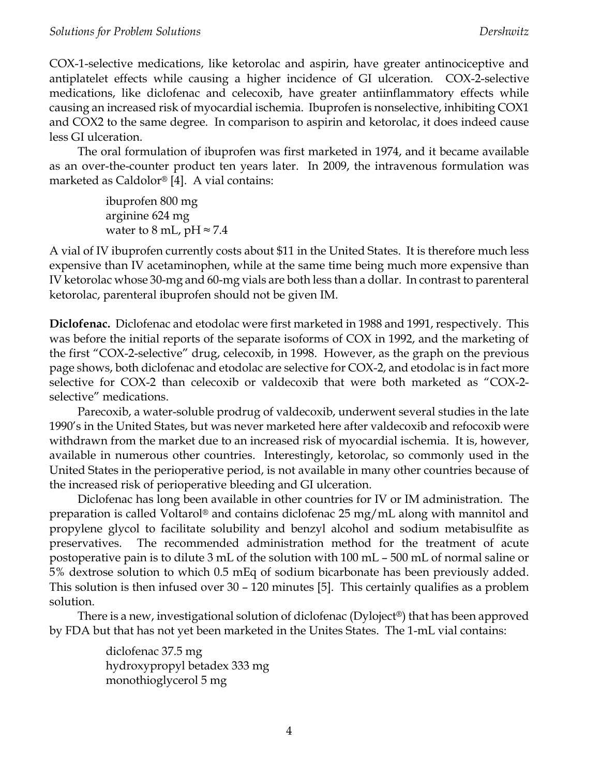COX-1-selective medications, like ketorolac and aspirin, have greater antinociceptive and antiplatelet effects while causing a higher incidence of GI ulceration. COX-2-selective medications, like diclofenac and celecoxib, have greater antiinflammatory effects while causing an increased risk of myocardial ischemia. Ibuprofen is nonselective, inhibiting COX1 and COX2 to the same degree. In comparison to aspirin and ketorolac, it does indeed cause less GI ulceration.

The oral formulation of ibuprofen was first marketed in 1974, and it became available as an over-the-counter product ten years later. In 2009, the intravenous formulation was marketed as Caldolor® [4]. A vial contains:

> ibuprofen 800 mg arginine 624 mg water to 8 mL, pH  $\approx$  7.4

A vial of IV ibuprofen currently costs about \$11 in the United States. It is therefore much less expensive than IV acetaminophen, while at the same time being much more expensive than IV ketorolac whose 30-mg and 60-mg vials are both less than a dollar. In contrast to parenteral ketorolac, parenteral ibuprofen should not be given IM.

**Diclofenac.** Diclofenac and etodolac were first marketed in 1988 and 1991, respectively. This was before the initial reports of the separate isoforms of COX in 1992, and the marketing of the first "COX-2-selective" drug, celecoxib, in 1998. However, as the graph on the previous page shows, both diclofenac and etodolac are selective for COX-2, and etodolac is in fact more selective for COX-2 than celecoxib or valdecoxib that were both marketed as "COX-2 selective" medications.

Parecoxib, a water-soluble prodrug of valdecoxib, underwent several studies in the late 1990's in the United States, but was never marketed here after valdecoxib and refocoxib were withdrawn from the market due to an increased risk of myocardial ischemia. It is, however, available in numerous other countries. Interestingly, ketorolac, so commonly used in the United States in the perioperative period, is not available in many other countries because of the increased risk of perioperative bleeding and GI ulceration.

Diclofenac has long been available in other countries for IV or IM administration. The preparation is called Voltarol® and contains diclofenac 25 mg/mL along with mannitol and propylene glycol to facilitate solubility and benzyl alcohol and sodium metabisulfite as preservatives. The recommended administration method for the treatment of acute postoperative pain is to dilute 3 mL of the solution with 100 mL – 500 mL of normal saline or 5% dextrose solution to which 0.5 mEq of sodium bicarbonate has been previously added. This solution is then infused over 30 – 120 minutes [5]. This certainly qualifies as a problem solution.

There is a new, investigational solution of diclofenac (Dyloject®) that has been approved by FDA but that has not yet been marketed in the Unites States. The 1-mL vial contains:

> diclofenac 37.5 mg hydroxypropyl betadex 333 mg monothioglycerol 5 mg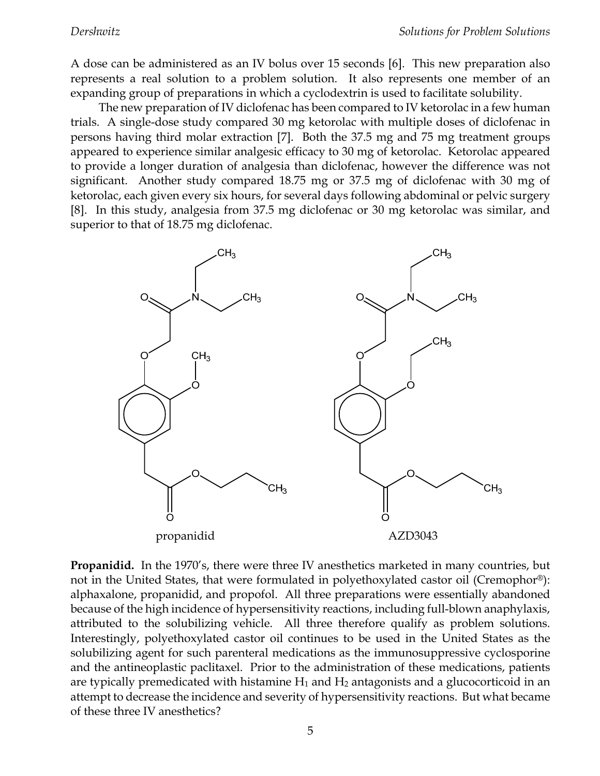A dose can be administered as an IV bolus over 15 seconds [6]. This new preparation also represents a real solution to a problem solution. It also represents one member of an expanding group of preparations in which a cyclodextrin is used to facilitate solubility.

The new preparation of IV diclofenac has been compared to IV ketorolac in a few human trials. A single-dose study compared 30 mg ketorolac with multiple doses of diclofenac in persons having third molar extraction [7]. Both the 37.5 mg and 75 mg treatment groups appeared to experience similar analgesic efficacy to 30 mg of ketorolac. Ketorolac appeared to provide a longer duration of analgesia than diclofenac, however the difference was not significant. Another study compared 18.75 mg or 37.5 mg of diclofenac with 30 mg of ketorolac, each given every six hours, for several days following abdominal or pelvic surgery [8]. In this study, analgesia from 37.5 mg diclofenac or 30 mg ketorolac was similar, and superior to that of 18.75 mg diclofenac.



**Propanidid.** In the 1970's, there were three IV anesthetics marketed in many countries, but not in the United States, that were formulated in polyethoxylated castor oil (Cremophor®): alphaxalone, propanidid, and propofol. All three preparations were essentially abandoned because of the high incidence of hypersensitivity reactions, including full-blown anaphylaxis, attributed to the solubilizing vehicle. All three therefore qualify as problem solutions. Interestingly, polyethoxylated castor oil continues to be used in the United States as the solubilizing agent for such parenteral medications as the immunosuppressive cyclosporine and the antineoplastic paclitaxel. Prior to the administration of these medications, patients are typically premedicated with histamine  $H_1$  and  $H_2$  antagonists and a glucocorticoid in an attempt to decrease the incidence and severity of hypersensitivity reactions. But what became of these three IV anesthetics?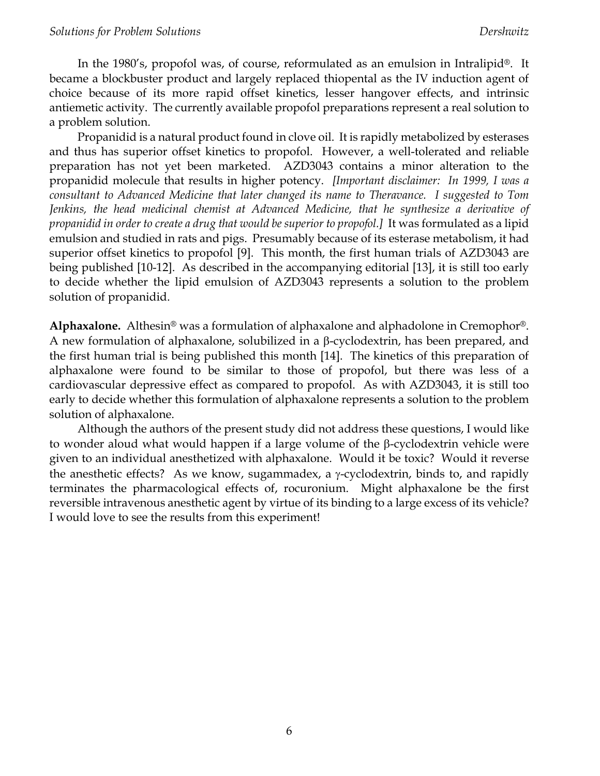In the 1980's, propofol was, of course, reformulated as an emulsion in Intralipid®. It became a blockbuster product and largely replaced thiopental as the IV induction agent of choice because of its more rapid offset kinetics, lesser hangover effects, and intrinsic antiemetic activity. The currently available propofol preparations represent a real solution to a problem solution.

Propanidid is a natural product found in clove oil. It is rapidly metabolized by esterases and thus has superior offset kinetics to propofol. However, a well-tolerated and reliable preparation has not yet been marketed. AZD3043 contains a minor alteration to the propanidid molecule that results in higher potency. *[Important disclaimer: In 1999, I was a consultant to Advanced Medicine that later changed its name to Theravance. I suggested to Tom Jenkins, the head medicinal chemist at Advanced Medicine, that he synthesize a derivative of propanidid in order to create a drug that would be superior to propofol.]* It was formulated as a lipid emulsion and studied in rats and pigs. Presumably because of its esterase metabolism, it had superior offset kinetics to propofol [9]. This month, the first human trials of AZD3043 are being published [10-12]. As described in the accompanying editorial [13], it is still too early to decide whether the lipid emulsion of AZD3043 represents a solution to the problem solution of propanidid.

**Alphaxalone.** Althesin® was a formulation of alphaxalone and alphadolone in Cremophor®. A new formulation of alphaxalone, solubilized in a  $\beta$ -cyclodextrin, has been prepared, and the first human trial is being published this month [14]. The kinetics of this preparation of alphaxalone were found to be similar to those of propofol, but there was less of a cardiovascular depressive effect as compared to propofol. As with AZD3043, it is still too early to decide whether this formulation of alphaxalone represents a solution to the problem solution of alphaxalone.

Although the authors of the present study did not address these questions, I would like to wonder aloud what would happen if a large volume of the  $\beta$ -cyclodextrin vehicle were given to an individual anesthetized with alphaxalone. Would it be toxic? Would it reverse the anesthetic effects? As we know, sugammadex, a  $\gamma$ -cyclodextrin, binds to, and rapidly terminates the pharmacological effects of, rocuronium. Might alphaxalone be the first reversible intravenous anesthetic agent by virtue of its binding to a large excess of its vehicle? I would love to see the results from this experiment!